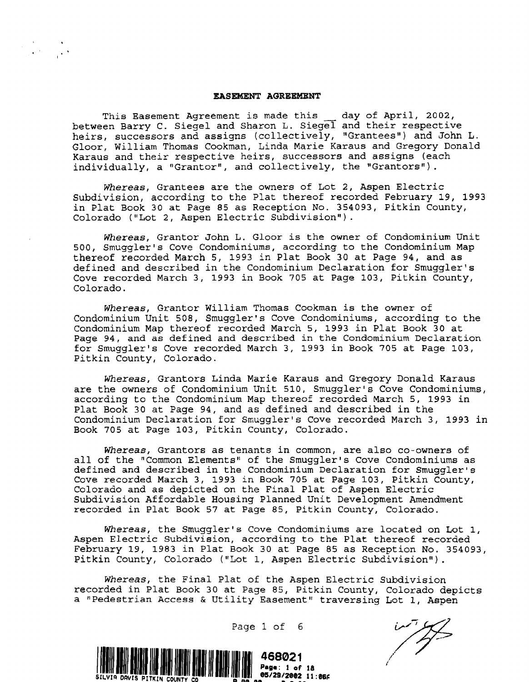## **EASEMEN'l' AGREEMENT**

This Easement Agreement is made this day of April, 2002, between Barry C. Siegel and Sharon L. Siegel and their respective heirs, successors and assigns (collectively, "Grantees") and John L. Gloor, William Thomas Cookman, Linda Marie Karaus and Gregory Donald Karaus and their respective heirs, successors and assigns (each individually, a "Grantor", and collectively, the "Grantors").

*Whereas,* Grantees are the owners of Lot 2, Aspen Electric Subdivision, according to the Plat thereof recorded February 19, 1993 in Plat Book 30 at Page 85 as Reception No. 354093, Pitkin County, Colorado ("Lot 2, Aspen Electric Subdivision").

*Whereas,* Grantor John L. Gloor is the owner of Condominium Unit 500, Smuggler's Cove Condominiums, according to the Condominium Map thereof recorded March 5, 1993 in Plat Book 30 at Page 94, and as defined and described in the Condominium Declaration for Smuggler's Cove recorded March 3, 1993 in Book 705 at Page 103, Pitkin County, Colorado.

*Whereas,* Grantor William Thomas Cookman is the owner of Condominium Unit 508, Smuggler's Cove Condominiums, according to the Condominium Map thereof recorded March 5, 1993 in Plat Book 30 at Page 94, and as defined and described in the Condominium Declaration for Smuggler's Cove recorded March 3, 1993 in Book 705 at Page 103, Pitkin County, Colorado.

*Whereas,* Grantors Linda Marie Karaus and Gregory Donald Karaus are the owners of Condominium Unit 510, Smuggler's Cove Condominiums, according to the Condominium Map thereof recorded March 5, 1993 in Plat Book 30 at Page 94, and as defined and described in the Condominium Declaration for Smuggler's Cove recorded March 3, 1993 in Book 705 at Page 103, Pitkin County, Colorado.

*Whereas,* Grantors as tenants in common, are also co-owners of all of the "Common Elements" of the Smuggler's Cove Condominiums as defined and described in the Condominium Declaration for Smuggler's Cove recorded March 3, 1993 in Book 705 at Page 103, Pitkin County, Colorado and as depicted on the Final Plat of Aspen Electric Subdivision Affordable Housing Planned Unit Development Amendment recorded in Plat Book 57 at Page 85, Pitkin County, Colorado.

*Whereas,* the Smuggler's Cove Condominiums are located on Lot 1, Aspen Electric Subdivision, according to the Plat thereof recorded February 19, 1983 in Plat Book 30 at Page 85 as Reception No. 354093, Pitkin County, Colorado ("Lot 1, Aspen Electric Subdivision").

*Whereas,* the Final Plat of the Aspen Electric Subdivision recorded in Plat Book 30 at Page 85, Pitkin County, Colorado depicts a "Pedestrian Access & Utility Easement" traversing Lot 1, Aspen

Page 1 of 6

/7~ /'

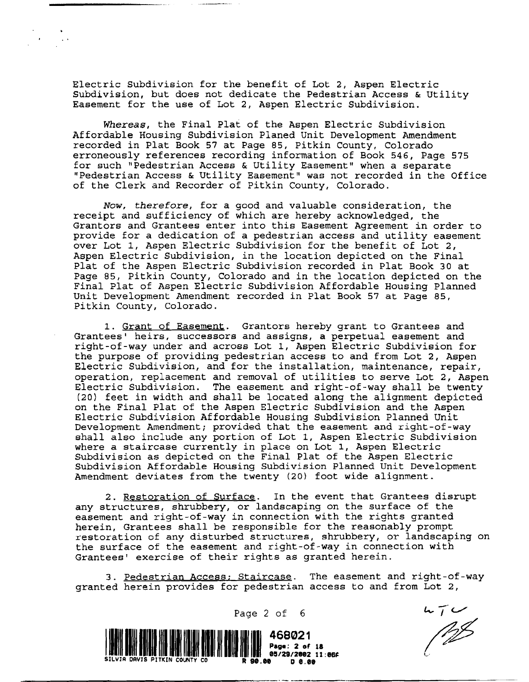Electric Subdivision for the benefit of Lot 2, Aspen Electric Subdivision, but does not dedicate the Pedestrian Access & Utility Easement for the use of Lot 2, Aspen Electric Subdivision.

*Whereas,* the Final Plat of the Aspen Electric SUbdivision Affordable Housing Subdivision Planed Unit Development Amendment recorded in Plat Book 57 at Page 85, Pitkin County, Colorado erroneously references recording information of Book 546, Page 575 for such "Pedestrian Access & Utility Easement" when a separate "Pedestrian Access & Utility Easement" was not recorded in the Office of the Clerk and Recorder of Pitkin County, Colorado.

*Now, therefore,* for a good and valuable consideration, the receipt and sufficiency of which are hereby acknowledged, the Grantors and Grantees enter into this Easement Agreement in order to provide for a dedication of a pedestrian access and utility easement over Lot 1, Aspen Electric Subdivision for the benefit of Lot 2, Aspen Electric Subdivision, in the location depicted on the Final Plat of the Aspen Electric Subdivision recorded in Plat Book 30 at Page 85, Pitkin County, Colorado and in the location depicted on the Final Plat of Aspen Electric Subdivision Affordable Housing Planned Unit Development Amendment recorded in Plat Book 57 at Page 85, Pitkin County, Colorado.

1. Grant of Easement. Grantors hereby grant to Grantees and Grantees· heirs, successors and assigns, a perpetual easement and right-of-way under and across Lot 1, Aspen Electric Subdivision for the purpose of providing pedestrian access to and from Lot 2, Aspen Electric Subdivision, and for the installation, maintenance, repair, operation, replacement and removal of utilities to serve Lot 2, Aspen Electric Subdivision. The easement and right-of-way shall be twenty (20) feet in width and shall be located along the alignment depicted on the Final Plat of the Aspen Electric Subdivision and the Aspen Electric Subdivision Affordable Housing Subdivision Planned Unit Development Amendment; provided that the easement and right-of-way shall also include any portion of Lot 1, Aspen Electric Subdivision where a staircase currently in place on Lot 1, Aspen Electric Subdivision as depicted on the Final Plat of the Aspen Electric Subdivision Affordable Housing Subdivision Planned Unit Development Amendment deviates from the twenty (20) foot wide alignment.

2. Restoration of Surface. In the event that Grantees disrupt any structures, shrubbery, or landscaping on the surface of the easement and right-of-way in connection with the rights granted herein, Grantees shall be responsible for the reasonably prompt restoration of any disturbed structures, shrubbery, or landscaping on the surface of the easement and right-of-way in connection with Grantees! exercise of their rights as granted herein.

3. Pedestrian Access; Staircase. The easement and right-of-way granted herein provides for pedestrian access to and from Lot 2,



 $570$ 

Page  $2$  of  $6$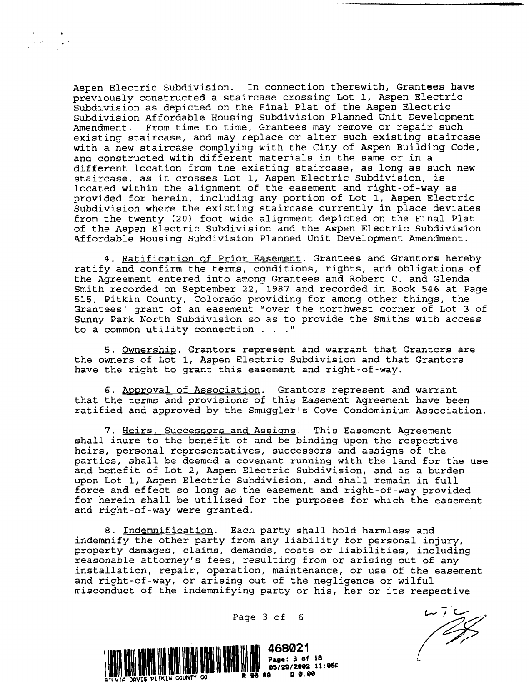Aspen Electric Subdivision. In connection therewith, Grantees have previously constructed a staircase crossing Lot 1, Aspen Electric Subdivision as depicted on the Final Plat of the Aspen Electric Subdivision Affordable Housing subdivision Planned Unit Development Amendment. From time to time, Grantees may remove or repair such existing staircase, and may replace or alter such existing staircase with a new staircase complying with the City of Aspen Building Code, and constructed with different materials in the same or in a different location from the existing staircase, as long as such new staircase, as it crosses Lot 1, Aspen Electric Subdivision, is located within the alignment of the easement and right-of-way as provided for herein, including any portion of Lot 1, Aspen Electric Subdivision where the existing staircase currently in place deviates from the twenty (20) foot wide alignment depicted on the Final Plat of the Aspen Electric Subdivision and the Aspen Electric Subdivision Affordable Housing Subdivision Planned Unit Development Amendment.

4. Ratification of Prior Easement. Grantees and Grantors hereby ratify and confirm the terms, conditions, rights, and obligations of the Agreement entered into among Grantees and Robert C. and Glenda Smith recorded on September 22, 1987 and recorded in Book 546 at Page 515, Pitkin County, Colorado providing for among other things, the Grantees' grant of an easement "over the northwest corner of Lot 3 of Sunny Park North Subdivision so as to provide the Smiths with access to a common utility connection  $\ldots$ ."

5. Ownership. Grantors represent and warrant that Grantors are the owners of Lot 1, Aspen Electric Subdivision and that Grantors have the right to grant this easement and right-of-way.

6. Approval of Association. Grantors represent and warrant that the terms and provisions of this Easement Agreement have been ratified and approved by the Smuggler's Cove Condominium Association.

7. Heirs, Successors and Assigns. This Easement Agreement shall inure to the benefit of and be binding upon the respective *heirs,* personal representatives, successors and assigns of the parties, shall be deemed a covenant running with the land for the use and benefit of Lot 2, Aspen Electric subdivision, and as a burden upon Lot 1, Aspen Electric Subdivision, and shall remain in full force and effect so long as the easement and right-of-way provided for herein shall be utilized for the purposes for which the easement and right-of-way were granted.

8. Indemnification. Each party shall hold harmless and indemnify the other party from any liability for personal injury, property damages, claims, demands, costs or liabilities, including reasonable attorney's fees, resulting from or arising out of any installation, repair, operation, maintenance, or use of the easement and right-of-way, or arising out of the *negligence* or wilful misconduct of the indemnifying party or his, her or its respective

Page 3 of 6



 $\frac{1}{\sqrt{2}}$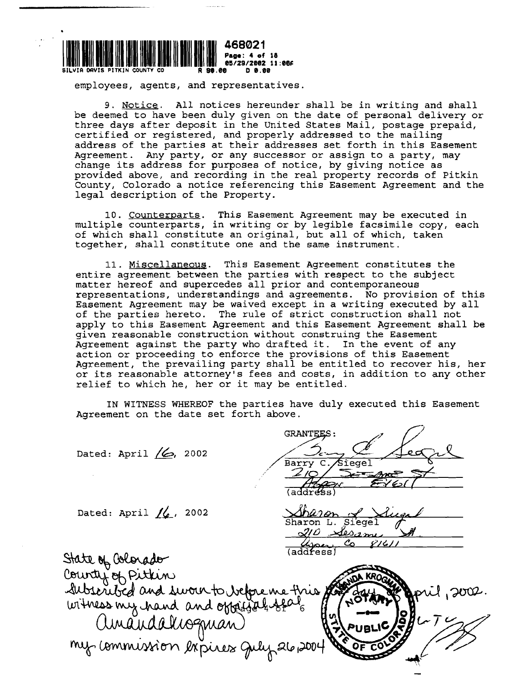

employees, agents, and representatives.

9. Notice. All notices hereunder shall be in writing and shall be deemed to have been duly given on the date of personal delivery or three days after deposit in the United States Mail, postage prepaid, certified or registered, and properly addressed to the mailing address of the parties at their addresses set forth in this Easement Agreement. Any party, or any successor or assign to a party, may change its address for purposes of notice, by giving notice as provided above, and recording in the real property records of Pitkin County, Colorado a notice referencing this Easement Agreement and the legal description of the Property.

10. Counterparts. This Easement Agreement may be executed in multiple counterparts, in writing or by legible facsimile copy, each of which shall constitute an original, but all of which, taken together, shall constitute one and the same instrument.

11. Miscellaneous. This Easement Agreement constitutes the entire agreement between the parties with respect to the subject matter hereof and supercedes all prior and contemporaneous representations, understandings and agreements. No provision of this Easement Agreement may be waived except in a writing executed by all of the parties hereto. The rule of strict construction shall not apply to this Easement Agreement and this Easement Agreement shall be given reasonable construction without construing the Easement Agreement against the party who drafted it. In the event of any action or proceeding to enforce the provisions of this Easement Agreement, the prevailing party shall be entitled to recover his, her or its reasonable attorney's fees and costs, in addition to any other relief to which he, her or it may be entitled.

IN WITNESS WHEREOF the parties have duly executed this Easement Agreement on the date set forth above.

Dated: April (6, 2002 Síegel Rarrv Dated: April  $/6$ , 2002 Sharon L. Siegel  $2\prime\mathcal{O}$ مصصة (address) State of Oslorado County of Pitkin<br>Subseribed and sworn to before me fries of  $2002.$ witness my hand and oppigalises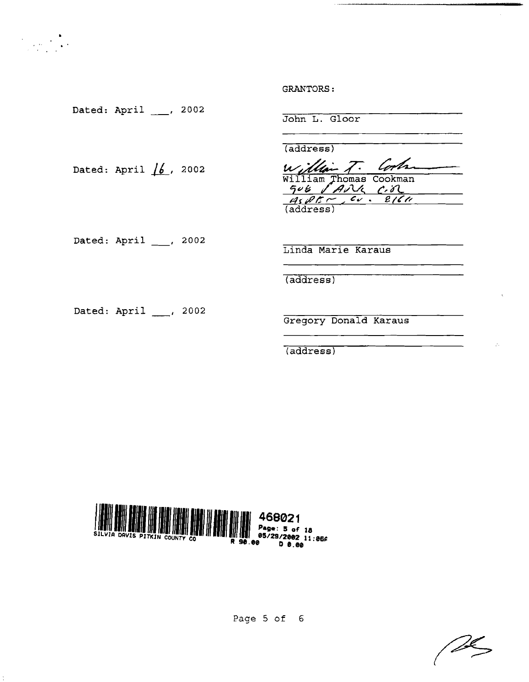Dated: April \_\_\_, 2002 Dated: April  $/6$ , 2002 Dated: April \_\_\_, 2002 John L. Gloor (address) (address) william Thomas Cookman<br>506 *AMG C.A* (address) Linda Marie Karaus (address)

Dated: April \_\_\_, 2002

Gregory Donald Karaus

(address)



Page 5 of 6

<sup>n</sup>

GRANTORS: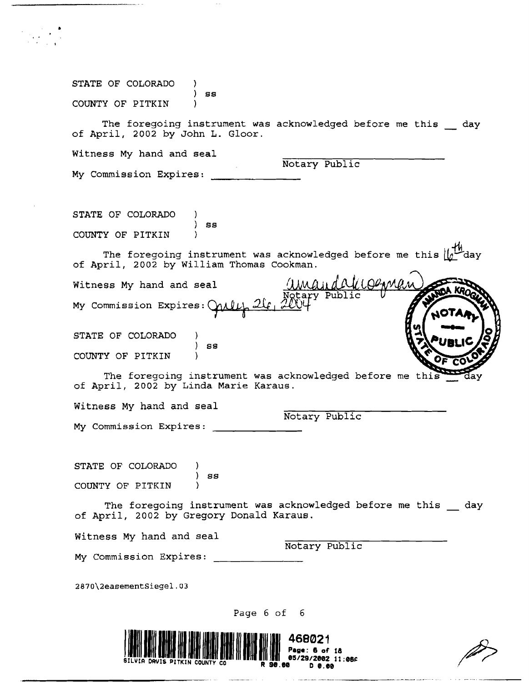| STATE OF COLORADO<br>SS                                                                                                                                                                    |
|--------------------------------------------------------------------------------------------------------------------------------------------------------------------------------------------|
| COUNTY OF PITKIN                                                                                                                                                                           |
| The foregoing instrument was acknowledged before me this day<br>of April, 2002 by John L. Gloor.                                                                                           |
| Witness My hand and seal                                                                                                                                                                   |
| Notary Public<br>My Commission Expires:                                                                                                                                                    |
|                                                                                                                                                                                            |
| STATE OF COLORADO                                                                                                                                                                          |
| SS<br>COUNTY OF PITKIN                                                                                                                                                                     |
| The foregoing instrument was acknowledged before me this $\lfloor \int_0^L \frac{1}{L} \cdot dA \cdot \frac{1}{L} \cdot dA \cdot \frac{1}{L}$<br>of April, 2002 by William Thomas Cookman. |
| Witness My hand and seal                                                                                                                                                                   |
| Ngtary Pub<br>My Commission Expires: Call                                                                                                                                                  |
| STATE OF COLORADO                                                                                                                                                                          |
| 8S<br>COUNTY OF PITKIN                                                                                                                                                                     |
| The foregoing instrument was acknowledged before me this<br>of April, 2002 by Linda Marie Karaus.                                                                                          |
| Witness My hand and seal                                                                                                                                                                   |
| Notary Public<br>My Commission Expires:                                                                                                                                                    |
|                                                                                                                                                                                            |
| STATE OF COLORADO                                                                                                                                                                          |
| SS<br>COUNTY OF PITKIN                                                                                                                                                                     |
| The foregoing instrument was acknowledged before me this day<br>of April, 2002 by Gregory Donald Karaus.                                                                                   |
| Witness My hand and seal                                                                                                                                                                   |
| Notary Public<br>My Commission Expires:                                                                                                                                                    |
| 2870\2easementSiegel.03                                                                                                                                                                    |
| Page 6 of 6                                                                                                                                                                                |
|                                                                                                                                                                                            |
| 468021<br>002 11:06F                                                                                                                                                                       |
|                                                                                                                                                                                            |

مشارعها المتعاطين والأراد

**Same State Company** 

الرواوي والمواقع فتستعيذ ومستعجب ومستنفر

 $\mathcal{P}=\frac{1}{2} \sum_{i=1}^{n} \frac{1}{i} \sum_{j=1}^{n} \frac{1}{j} \sum_{j=1}^{n} \frac{1}{j} \sum_{j=1}^{n} \frac{1}{j} \sum_{j=1}^{n} \frac{1}{j} \sum_{j=1}^{n} \frac{1}{j} \sum_{j=1}^{n} \frac{1}{j} \sum_{j=1}^{n} \frac{1}{j} \sum_{j=1}^{n} \frac{1}{j} \sum_{j=1}^{n} \frac{1}{j} \sum_{j=1}^{n} \frac{1}{j} \sum_{j=1}^{n} \frac{1}{j} \sum_{$ 

 $\bar{\mathbf{r}}$ 

 $\sim$   $\sim$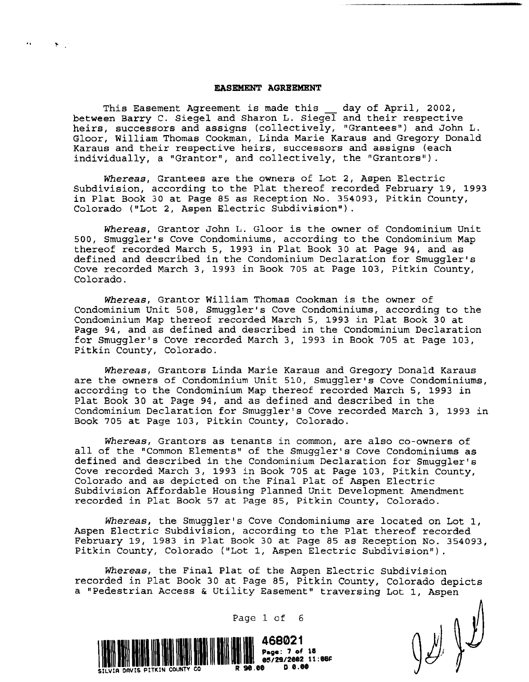## **EASEMENT AGREEMENT**

 $\mathcal{C}(\mathbf{P})$  .

This Easement Agreement is made this \_\_ day of April, 2002, between Barry C. Siegel and Sharon L. Siegel and their respective heirs, successors and assigns (collectively, "Grantees") and John L. Gloor, William Thomas Cookman, Linda Marie Karaus and Gregory Donald Karaus and their respective heirs, successors and assigns (each individually, a "Grantor", and collectively, the "Grantors").

*Whereas,* Grantees are the owners of Lot 2, Aspen Electric Subdivision, according to the Plat thereof recorded February 19, 1993 in Plat Book 30 at Page 85 as Reception No. 354093, Pitkin County, Colorado ("Lot 2, Aspen Electric Subdivision").

*Whereas,* Grantor John L. Gloor is the owner of Condominium Unit 500, Smuggler's Cove Condominiums, according to the Condominium Map thereof recorded March 5, 1993 in Plat Book 30 at Page 94, and as defined and described in the Condominium Declaration for Smuggler's Cove recorded March 3, 1993 in Book 705 at Page 103, Pitkin County, Colorado.

*Whereas,* Grantor William Thomas Cookman is the owner of Condominium Unit 508, Smuggler's Cove Condominiums, according to the Condominium Map thereof recorded March 5, 1993 in Plat Book 30 at Page 94, and as defined and described in the Condominium Declaration for Smuggler's Cove recorded March 3, 1993 in Book 705 at Page 103, Pitkin County, Colorado.

*Whereas,* Grantors Linda Marie Karaus and Gregory Donald Karaus are the owners of Condominium Unit SID, Smuggler's Cove Condominiums, according to the Condominium Map thereof recorded March S, 1993 in Plat Book 30 at Page 94, and as defined and described in the Condominium Declaration for Smuggler's Cove recorded March 3, 1993 in Book 705 at Page 103, Pitkin County, Colorado.

Whereas, Grantors as tenants in common, are also co-owners of all of the "Common Elements" of the Smuggler's Cove Condominiums as defined and described in the Condominium Declaration for Smuggler's Cove recorded March 3, 1993 in Book 70S at Page 103, Pitkin County, Colorado and as depicted on the Final Plat of Aspen Electric Subdivision Affordable Housing Planned Unit Development Amendment recorded in Plat Book 57 at Page 85, Pitkin County, Colorado.

*Whereas,* the Smuggler's Cove Condominiums are located on Lot I, Aspen Electric Subdivision, according to the Plat thereof recorded February 19, 1983 in Plat Book 30 at Page 85 as Reception No. 354093, Pitkin County, Colorado ("Lot 1, Aspen Electric Subdivision").

*Whereas,* the Final Plat of the Aspen Electric subdivision recorded in Plat Book 30 at Page 85, Pitkin County, Colorado depicts a "Pedestrian Access & Utility Easement" traversing Lot 1, Aspen

 $\int \mathcal{L} \int \mathcal{L}$ 

468021 Page: 7 of 18<br>05/29/2002 11:0<br>90.00 D 0.00 1111111111111111111 SILVIA DAVIS PITKIN COUNTV CO R

Page 1 of 6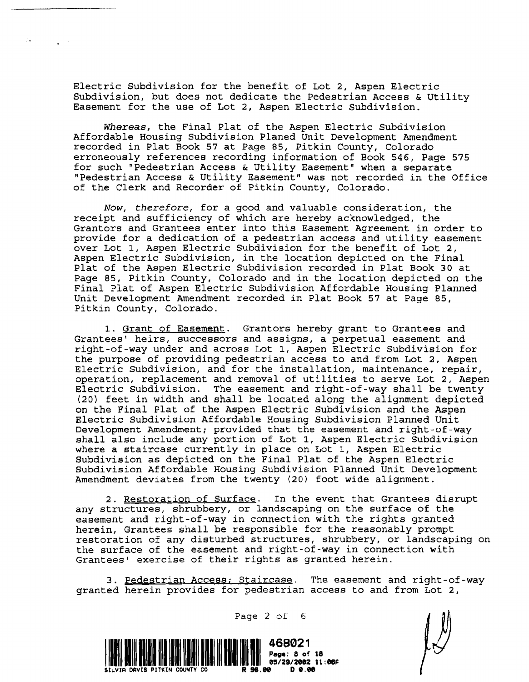Electric Subdivision for the benefit of Lot 2, Aspen Electric Subdivision, but does not dedicate the Pedestrian Access & Utility Easement for the use of Lot 2, Aspen Electric Subdivision.

'.

*Whereas,* the Final Plat of the Aspen Electric Subdivision Affordable Housing Subdivision Planed Unit Development Amendment recorded in Plat Book 57 at Page 85, Pitkin County, Colorado erroneously references recording information of Book 546, Page 575 for such "Pedestrian Access & Utility Easement" when a separate npedestrian Access & Utility Easement" was not recorded in the Office of the Clerk and Recorder of Pitkin County, Colorado.

*Now, therefore,* for a good and valuable consideration, the receipt and sufficiency of which are hereby acknowledged, the Grantors and Grantees enter into this Easement Agreement in order to provide for a dedication of a pedestrian access and utility easement over Lot 1, Aspen Electric Subdivision for the benefit of Lot 2, Aspen Electric subdivision, in the location depicted on the Final Plat of the Aspen Electric Subdivision recorded in Plat Book 30 at Page 85, Pitkin County, Colorado and in the location depicted on the Final Plat of Aspen Electric SUbdivision Affordable Housing Planned Unit Development Amendment recorded in Plat Book 57 at Page 85, Pitkin County, Colorado.

1. Grant of Easement. Grantors hereby grant to Grantees and Grantees' heirs, successors and assigns, a perpetual easement and right-of-way under and across Lot 1, Aspen Electric Subdivision for the purpose of providing pedestrian access to and from Lot 2, Aspen Electric Subdivision, and for the installation, maintenance, repair, operation, replacement and removal of utilities to serve Lot 2, Aspen Electric Subdivision. The easement and right-of-way shall be twenty (20) feet in width and shall be located along the alignment depicted on the Final Plat of the Aspen Electric Subdivision and the Aspen Electric Subdivision Affordable Housing Subdivision Planned Unit Development Amendment; provided that the easement and right-of-way shall also include any portion of Lot 1, Aspen Electric Subdivision where a staircase currently in place on Lot 1, Aspen Electric Subdivision as depicted on the Final Plat of the Aspen Electric Subdivision Affordable Housing Subdivision Planned Unit Development Amendment deviates from the twenty (20) foot wide alignment.

2. Restoration of Surface. In the event that Grantees disrupt any structures, shrubbery, or landscaping on the surface of the easement and right-of-way in connection with the rights granted herein, Grantees shall be responsible for the reasonably prompt restoration of any disturbed structures, shrubbery, or landscaping on the surface of the easement and right-of-way in connection with Grantees' exercise of their rights as granted herein.

3. Pedestrian Access; Staircase. The easement and right-of-way granted herein provides for pedestrian access to and from Lot 2,



Page 2 of 6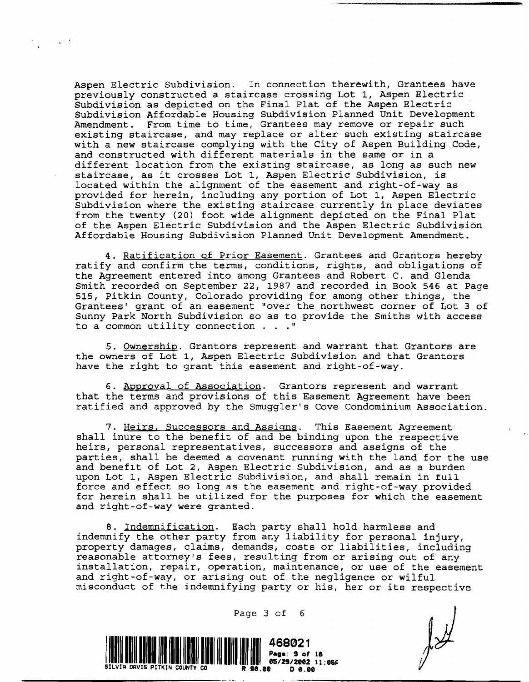Aspen Electric Subdivision. In connection therewith, Grantees have previously constructed a staircase crossing Lot 1, Aspen Electric Subdivision as depicted on the Final Plat of the Aspen Electric Subdivision Affordable Housing Subdivision Planned Unit Development Amendment. From time to time, Grantees may remove or repair such existing staircase, and may replace or alter such existing staircase with a new staircase complying with the City of Aspen Building Code, and constructed with different materials in the same or in a different location from the existing staircase, as long as such new staircase, as it crosses Lot 1, Aspen Electric Subdivision, is located within the alignment of the easement and right-of-way as provided for herein, including any portion of Lot 1, Aspen Electric Subdivision where the existing staircase currently in place deviates from the twenty (20) foot wide alignment depicted on the Final Plat of the Aspen Electric Subdivision and the Aspen Electric Subdivision Affordable Housing Subdivision Planned Unit Development Amendment.

 $\sim 100$  km  $^{-1}$ 

4. Ratification of Prior Easement. Grantees and Grantors hereby ratify and confirm the terms, conditions, rights, and obligations of the Agreement entered into among Grantees and Robert C. and Glenda Smith recorded on September 22, 1987 and recorded in Book 546 at Page 515, Pitkin County, Colorado providing for among other things, the Grantees' grant of an easement "over the northwest corner of Lot 3 of Sunny Park North Subdivision so as to provide the Smiths with access to a common utility connection  $\ldots$  "

5. Ownership. Grantors represent and warrant that Grantors are the owners of Lot 1, Aspen Electric Subdivision and that Grantors have the right to grant this easement and right-of-way.

6. Approval of Association. Grantors represent and warrant that the terms and provisions of this Easement Agreement have been ratified and approved by the Smuggler's Cove Condominium Association.

7. Heirs, Successors and Assigns. This Easement Agreement shall inure to the benefit of and be binding upon the respective heirs, personal representatives, successors and assigns of the parties, shall be deemed a covenant running with the land for the use and benefit of Lot 2, Aspen Electric Subdivision, and as a burden upon Lot 1, Aspen Electric Subdivision, and shall remain in full force and effect so long as the easement and right-of-way provided force and crised so long as one easement and right of way provided for herein shall be utilized for the purposes for which the easement and right-of-way were granted.

8. Indemnification. Each party shall hold harmless and indemnify the other party from any liability for personal injury, property damages, claims, demands, costs or liabilities, including reasonable attorney's fees, resulting from or arising out of any installation, repair, operation, maintenance, or use of the easement and right-of-way, or arising out of the negligence or wilful misconduct of the indemnifying party or his, her or its respective



Page 3 of 6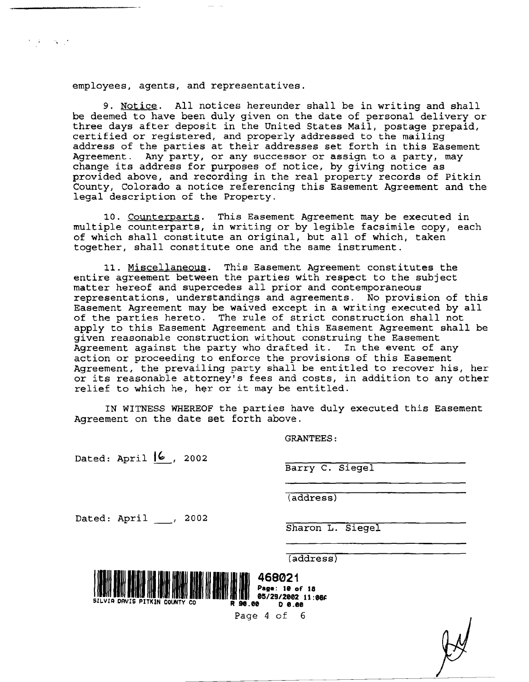employees, agents, and representatives.

 $\mathcal{O}(\mathcal{A})$  and  $\mathcal{O}(\mathcal{A})$  .

*9. Notice.* All notices hereunder shall be in writing and shall be deemed to have been duly given on the date of personal delivery or three days after deposit in the United States Mail, postage prepaid, certified or registered, and properly addressed to the mailing address of the parties at their addresses set forth in this Easement Agreement. Any party, or any successor or assign to a party, may change *its* address for purposes of notice, by giving notice as provided above, and recording in the real property records of Pitkin County, Colorado a notice referencing this Easement Agreement and the legal description of the Property.

10. Counterparts. This Easement Agreement may be executed *in*  multiple counterparts, in writing or by legible facsimile copy, each of which shall constitute an original, but all of which, taken together, shall constitute one and the same instrument.

11. Miscellaneous. This Easement Agreement constitutes the entire agreement between the parties with respect to the subject matter hereof and supercedes all prior and contemporaneous representations, understandings and agreements. No provision of this Easement Agreement may be waived except in a writing executed by all of the parties hereto. The rule of strict construction shall not apply to this Easement Agreement and this Easement Agreement shall be given reasonable construction without construing the Easement Agreement against the party who drafted it. In the event of any action or proceeding to enforce the provisions of this Easement Agreement, the prevailing party shall be entitled to recover *his,* her or *its* reasonable attorney's fees and costs, in addition to any other relief to which he, her or it may be entitled.

IN WITNESS WHEREOF the parties have duly executed this Easement Agreement on the date set forth above.

GRANTEES:

Dated: April  $/6$ , 2002

Barry C. Siegel

(address)

Dated: April \_\_\_, 2002

Sharon L. Siegel

(address)



Page 4 of 6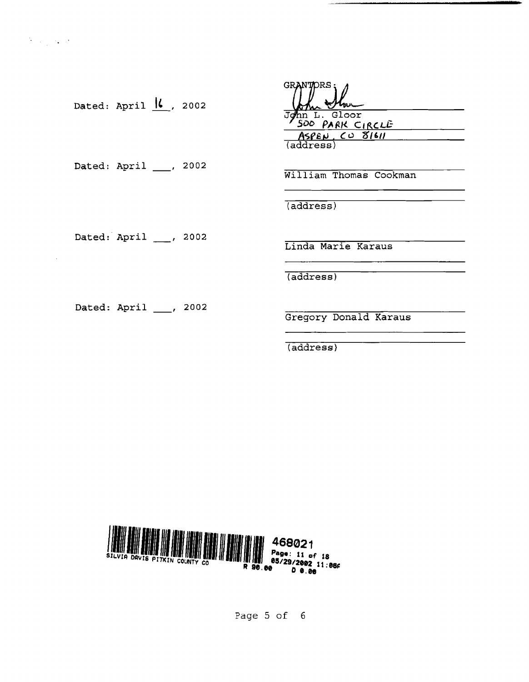÷.

| Dated: April $\frac{1}{k}$ , 2002 | <b>GRANTORS</b><br>John L. Gloor<br>500 PARK CIRCLE<br>$ASEN$ , CO 81611 |
|-----------------------------------|--------------------------------------------------------------------------|
| Dated: April ___, 2002            | $\overline{\text{(address)}}$<br>William Thomas Cookman                  |
| Dated: April , 2002               | (address)<br>Linda Marie Karaus                                          |
| Dated: April ___, 2002            | (address)<br>Gregory Donald Karaus<br>(address)                          |



Page 5 of 6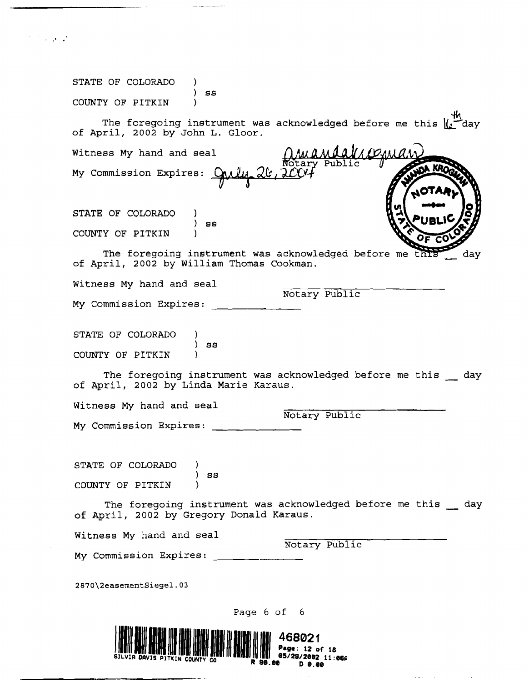| STATE OF COLORADO<br>SS                                                                               |                                                                            |
|-------------------------------------------------------------------------------------------------------|----------------------------------------------------------------------------|
| COUNTY OF PITKIN                                                                                      |                                                                            |
| of April, 2002 by John L. Gloor.                                                                      | The foregoing instrument was acknowledged before me this $\  \cdot \ $ day |
| Witness My hand and seal                                                                              | <i>MAYOAN</i>                                                              |
| My Commission Expires:                                                                                | <b>JOA KROO</b>                                                            |
| STATE OF COLORADO                                                                                     |                                                                            |
| 98<br>COUNTY OF PITKIN                                                                                |                                                                            |
| The foregoing instrument was acknowledged before me this<br>of April, 2002 by William Thomas Cookman. | day                                                                        |
| Witness My hand and seal                                                                              |                                                                            |
| My Commission Expires:                                                                                | Notary Public                                                              |
| STATE OF COLORADO                                                                                     |                                                                            |
| ss<br>COUNTY OF PITKIN                                                                                |                                                                            |
| of April, 2002 by Linda Marie Karaus.                                                                 | The foregoing instrument was acknowledged before me this day               |
| Witness My hand and seal                                                                              |                                                                            |
| My Commission Expires:                                                                                | Notary Public                                                              |
| STATE OF COLORADO                                                                                     |                                                                            |
| SS<br>COUNTY OF PITKIN                                                                                |                                                                            |
| of April, 2002 by Gregory Donald Karaus.                                                              | The foregoing instrument was acknowledged before me this day               |
| Witness My hand and seal                                                                              | Notary Public                                                              |
| My Commission Expires:                                                                                |                                                                            |
| 2870\2easementSiegel.03                                                                               |                                                                            |
| Page 6 of 6                                                                                           |                                                                            |
|                                                                                                       | 468021                                                                     |
|                                                                                                       | Page: 12 of 18                                                             |
|                                                                                                       | 11:066                                                                     |

 $\sim$ 

 $\sim$ 

 $\sim 10^7$ 

 $\mathcal{L}(\mathcal{A})$  and  $\mathcal{L}(\mathcal{A})$  is a set of the set of  $\mathcal{L}(\mathcal{A})$  , and  $\mathcal{L}(\mathcal{A})$ 

 $\sim$  10  $\mu$  m and an analysis of the second contract  $\sim$  10  $^{\circ}$ 

 $\label{eq:2} \frac{1}{2}\sum_{i=1}^n\frac{1}{2}\sum_{j=1}^n\frac{1}{2}\sum_{j=1}^n\frac{1}{2}\sum_{j=1}^n\frac{1}{2}\sum_{j=1}^n\frac{1}{2}\sum_{j=1}^n\frac{1}{2}\sum_{j=1}^n\frac{1}{2}\sum_{j=1}^n\frac{1}{2}\sum_{j=1}^n\frac{1}{2}\sum_{j=1}^n\frac{1}{2}\sum_{j=1}^n\frac{1}{2}\sum_{j=1}^n\frac{1}{2}\sum_{j=1}^n\frac{1}{2}\sum_{j=1}^n\frac{$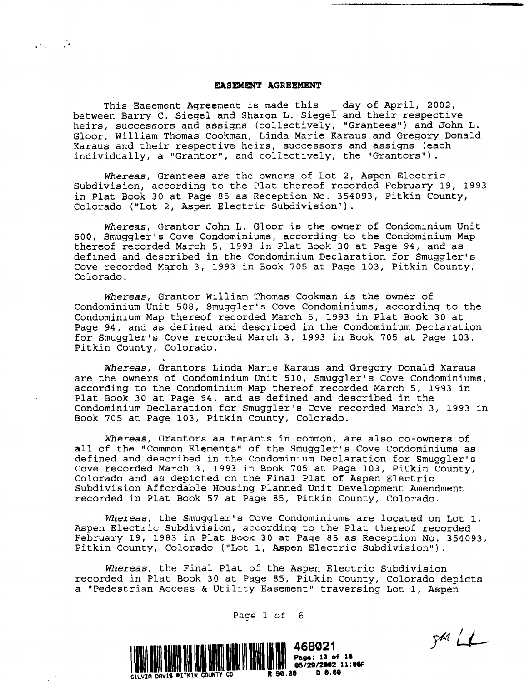## **EASEMEN'l' AGREEMENT**

 $\mathcal{L}(\mathcal{L})$  and  $\mathcal{L}(\mathcal{L})$ 

This Easement Agreement is made this \_\_ day of April, 2002, between Barry C. Siegel and Sharon L. Siegel and their respective heirs, successors and assigns (collectively, "Grantees") and John L. Gloor, William Thomas Cookman, Linda Marie Karaus and Gregory Donald Karaus and their respective heirs, successors and assigns (each individually, a "Grantor", and collectively, the "Grantors").

*Whereas,* Grantees are the owners of Lot 2, Aspen Electric Subdivision, according to the Plat thereof recorded February 19, 1993 in Plat Book 30 at Page 85 as Reception No. 354093, Pitkin County, Colorado ("Lot 2, Aspen Electric Subdivision") .

*Whereas,* Grantor John L. Gloor is the owner of Condominium Unit 500, Smuggler's Cove Condominiums, according to the Condominium Map thereof recorded March 5, 1993 in Plat Book 30 at Page 94, and as defined and described in the Condominium Declaration for Smuggler's Cove recorded March 3, 1993 in Book 705 at Page 103, Pitkin County,<br>Colorado.

*Whereas,* Grantor William Thomas Cookman is the owner of Condominium Unit 508, Smuggler's Cove Condominiums, according to the Condominium Map thereof recorded March 5, 1993 in Plat Book 30 at Page 94, and as defined and described in the Condominium Declaration for Smuggler's Cove recorded March 3, 1993 in Book 705 at Page 103, Pitkin County, Colorado.

, *Whereas,* Grantors Linda Marie Karaus and Gregory Donald Karaus are the owners of Condominium Unit 510, Smuggler's Cove Condominiums, according to the Condominium Map thereof recorded March 5, 1993 in Plat Book 30 at Page 94, and as defined and described in the Condominium Declaration for Smuggler's Cove recorded March 3, 1993 in Book 705 at Page 103, Pitkin County, Colorado.

Whereas, Grantors as tenants in common, are also co-owners of all of the "Common Elements" of the Smuggler's Cove Condominiums as defined and described in the Condominium Declaration for Smuggler's Cove recorded March 3, 1993 in Book 705 at Page 103, Pitkin County, Colorado and as depicted on the Final Plat of Aspen Electric Subdivision Affordable Housing Planned Unit Development Amendment recorded *in* Plat Book 57 at Page 85, Pitkin County, Colorado.

*Whereas,* the Smuggler's Cove Condominiums are located on Lot 1, Aspen Electric Subdivision, according to the Plat thereof recorded February 19, 1983 in Plat Book 30 at Page 85 as Reception No. 354093, Pitkin County, Colorado ("Lot 1, Aspen Electric Subdivision") .

*Whereas,* the Final Plat of the Aspen Electric Subdivision recorded in Plat Book 30 at Page 85, Pitkin County, Colorado depicts a "Pedestrian Access & Utility Easement" traversing Lot I, Aspen

 $541 L$ 



Page 1 of 6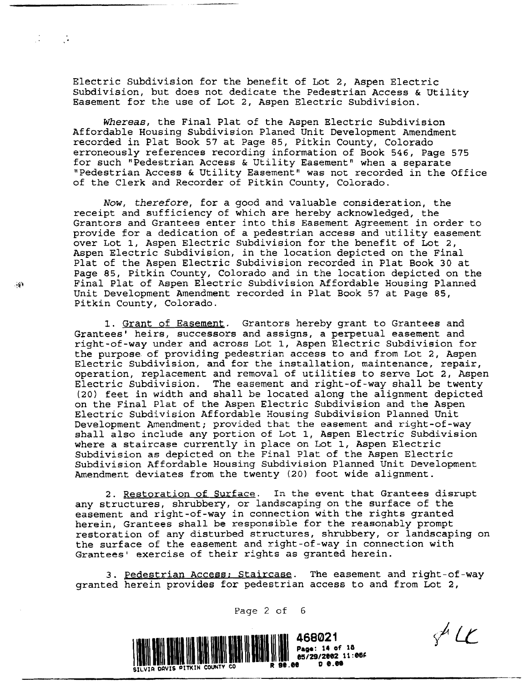Electric Subdivision for the benefit of Lot 2, Aspen Electric subdivision, but does not dedicate the Pedestrian Access & Utility Easement for the use of Lot 2, Aspen Electric Subdivision.

*Whereas,* the Final Plat of the Aspen Electric Subdivision Affordable Housing Subdivision Planed Unit Development Amendment recorded in Plat Book 57 at Page 85, Pitkin County, Colorado erroneously references recording information of Book 546, Page 575 for such "Pedestrian Access & Utility Easement" when a separate "Pedestrian Access & Utility Easement" was not recorded in the Office of the Clerk and Recorder of Pitkin County, Colorado.

*Now, therefore,* for a good and valuable consideration, the receipt and sufficiency of which are hereby acknowledged, the Grantors and Grantees enter into this Easement Agreement in order to provide for a dedication of a pedestrian access and utility easement over Lot I, Aspen Electric Subdivision for the benefit of Lot 2, Aspen Electric Subdivision, in the location depicted on the Final Plat of the Aspen Electric Subdivision recorded in Plat Book 30 at Page 85, Pitkin County, Colorado and in the location depicted on the Final Plat of Aspen Electric Subdivision Affordable Housing Planned Unit Development Amendment recorded in Plat Book 57 at Page 85, Pitkin County, Colorado.

1. Grant of Easement. Grantors hereby grant to Grantees and Grantees' heirs, successors and assigns, a perpetual easement and right-of-way under and across Lot 1, Aspen Electric Subdivision for the purpose of providing pedestrian access to and from Lot 2, Aspen Electric Subdivision, and for the installation, maintenance, repair, operation, replacement and removal of utilities to serve Lot 2, Aspen Electric Subdivision. The easement and right-of-way shall be twenty (20) feet in width and shall be located along the alignment depicted on the Final Plat of the Aspen Electric Subdivision and the Aspen Electric Subdivision Affordable Housing Subdivision Planned Unit Development Amendment; provided that the easement and right-of-way shall also include any portion of Lot 1, Aspen Electric Subdivision where a staircase currently in place on Lot I, Aspen Electric Subdivision as depicted on the Final Plat of the Aspen Electric Subdivision Affordable Housing Subdivision Planned Unit Development Amendment deviates from the twenty (20) foot wide alignment.

2. Restoration of Surface. In the event that Grantees disrupt any structures, shrubbery, or landscaping on the surface of the easement and right-of-way in connection with the rights granted herein, Grantees shall be responsible for the reasonably prompt restoration of any disturbed structures, shrubbery, or landscaping on the surface of the easement and right-of-way in connection with Grantees' exercise of their rights as granted herein.

3. Pedestrian Access: Staircase. The easement and right-of-way granted herein provides for pedestrian access to and from Lot 2,

Page 2 of 6



 $\mathscr{J}$  LC

لألأت

 $\mathcal{A}=\mathcal{A}$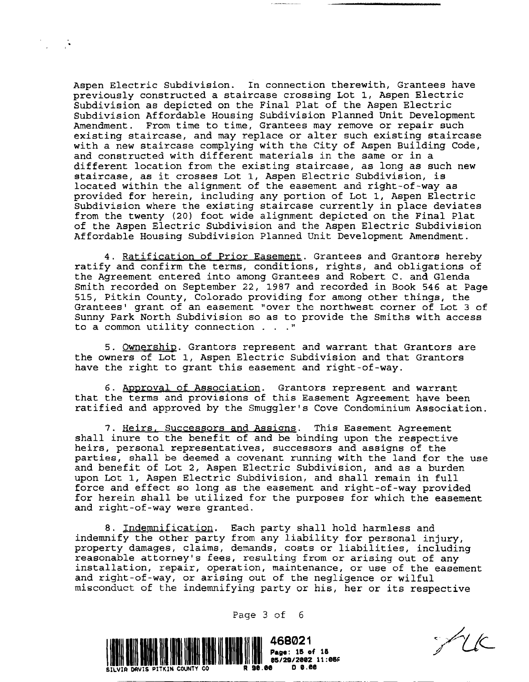Aspen Electric Subdivision. In connection therewith, Grantees have previously constructed a staircase crossing Lot 1, Aspen Electric Subdivision as depicted on the Final Plat of the Aspen Electric Subdivision Affordable Housing Subdivision Planned Unit Development Amendment. From time to time, Grantees may remove or repair such existing staircase, and may replace or alter such existing staircase with a new staircase complying with the City of Aspen Building Code, and constructed with different materials in the same or in a different location from the existing staircase, as long as such new staircase, as it crosses Lot 1, Aspen Electric Subdivision, is located within the alignment of the easement and right-of-way as provided for herein, including any portion of Lot 1, Aspen Electric Subdivision where the existing staircase currently in place deviates from the twenty (20) foot wide alignment depicted on the Final Plat of the Aspen Electric SUbdivision and the Aspen Electric Subdivision Affordable Housing subdivision Planned Unit Development Amendment.

4. Ratification of Prior Easement. Grantees and Grantors hereby ratify and confirm the terms, conditions, rights, and obligations of the Agreement entered into among Grantees and Robert C. and Glenda Smith recorded on September 22, 1987 and recorded in Book 546 at Page 515, Pitkin County, Colorado providing for among other things, the Grantees' grant of an easement "over the northwest corner of Lot 3 of Sunny Park North Subdivision so as to provide the Smiths with access to a common utility connection . . . "

5. Ownership. Grantors represent and warrant that Grantors are the owners of Lot 1, Aspen Electric Subdivision and that Grantors have the right to grant this easement and right-of-way.

6. Approval of Association. Grantors represent and warrant that the terms and provisions of this Easement Agreement have been ratified and approved by the Smuggler's Cove Condominium Association.

7. Heirs, Successors and Assigns. This Easement Agreement shall inure to the benefit of and be binding upon the respective heirs, personal representatives, successors and assigns of the parties, shall be deemed a covenant running with the land for the use and benefit of Lot 2, Aspen Electric Subdivision, and as a burden upon Lot 1, Aspen Electric Subdivision, and shall remain in full force and effect so long as the easement and right-of-way provided for herein shall be utilized for the purposes for which the easement and right-of-way were granted.

8. Indemnification. Each party shall hold harmless and indemnify the other party from any liability for personal injury, property damages, claims, demands, costs or liabilities, including reasonable attorney's fees, resulting from or arising out of any installation, repair, operation, maintenance, or use of the easement and right-of-way, or arising out of the negligence or wilful misconduct of the indemnifying party or his, her or its respective

Page 3 of 6



FUE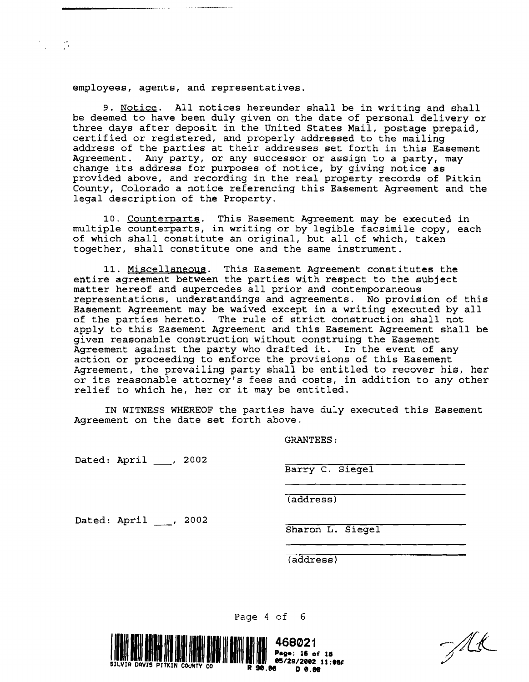employees, agents, and representatives.

 $\mathcal{F}^{\mathcal{F}}_{\mathcal{F}}$  and  $\mathcal{F}^{\mathcal{F}}_{\mathcal{F}}$ 

9. Notice. All notices hereunder shall be in writing and shall be deemed to have been duly given on the date of personal delivery or three days after deposit in the United States Mail, postage prepaid, certified or registered, and properly addressed to the mailing address of the parties at their addresses set forth in this Easement Agreement. Any party, or any successor or assign to a party, may change *its* address for purposes of notice, by giving notice as provided above, and recording in the real property records of Pitkin County, Colorado a notice referencing this Easement Agreement and the legal description of the Property.

10. Counterparts. This Easement Agreement may be executed in multiple counterparts, in writing or by legible facsimile copy, each of which shall constitute an original, but all of which, taken together, shall constitute one and the same instrument.

11. Miscellaneous. This Easement Agreement constitutes the entire agreement between the parties with respect to the subject matter hereof and supercedes all prior and contemporaneous representations, understandings and agreements. No provision of this Easement Agreement may be waived except in a writing executed by all of the parties hereto. The rule of strict construction shall not apply to this Easement Agreement and this Easement Agreement shall be given reasonable construction without construing the Easement Agreement against the party who drafted it. In the event of any action or proceeding to enforce the provisions of this Easement Agreement, the prevailing party shall be entitled to recover his, her or its reasonable attorney's fees and costs, in addition to any other relief to which he, her or it may be entitled.

IN WITNESS WHEREOF the parties have duly executed this Easement Agreement on the date set forth above.

Page 4 of 6

GRANTEES:

Dated: April \_\_\_, 2002

Barry C. Siegel

(address)

Dated: April , 2002

Sharon L. Siegel

(address)



Alt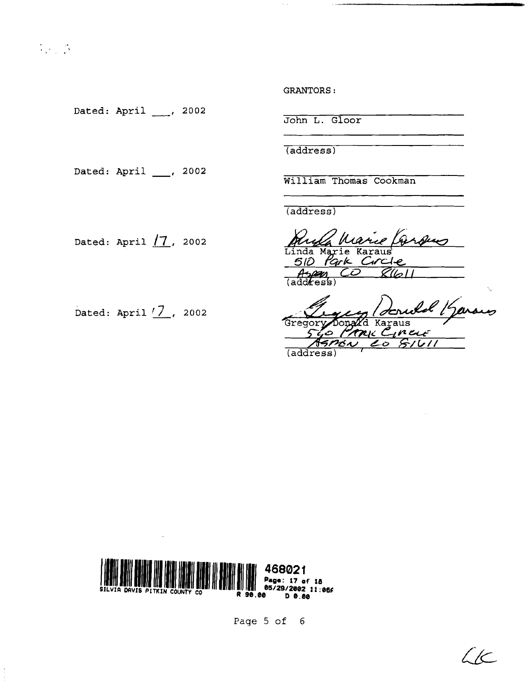$\frac{1}{2} \sum_{i=1}^n \frac{1}{2} \sum_{j=1}^n \frac{1}{2} \sum_{j=1}^n \frac{1}{2} \sum_{j=1}^n \frac{1}{2} \sum_{j=1}^n \frac{1}{2} \sum_{j=1}^n \frac{1}{2} \sum_{j=1}^n \frac{1}{2} \sum_{j=1}^n \frac{1}{2} \sum_{j=1}^n \frac{1}{2} \sum_{j=1}^n \frac{1}{2} \sum_{j=1}^n \frac{1}{2} \sum_{j=1}^n \frac{1}{2} \sum_{j=1}^n \frac{1}{2} \sum_{j=$ 

Dated: April \_\_\_, 2002

Dated: April  $\_\_$ , 2002

GRANTORS:

John L. Gloor

(address)

William Thomas Cookman

(address)

Linda (address) Marie Karaus 510 Park Circle *Angan*<br>(address)

Dated: April 17, 2002<br>Gregory Donald Karaus<br>540 Prove Cineur Gregor Ò (address

Dated: April  $\sqrt{7}$ , 2002



Page 5 of 6

 $\zeta$ K